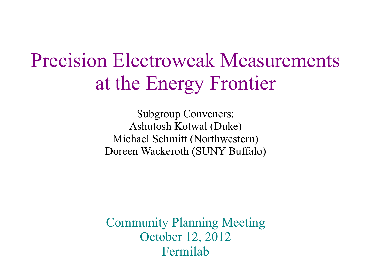# Precision Electroweak Measurements at the Energy Frontier

Subgroup Conveners: Ashutosh Kotwal (Duke) Michael Schmitt (Northwestern) Doreen Wackeroth (SUNY Buffalo)

Community Planning Meeting October 12, 2012 Fermilab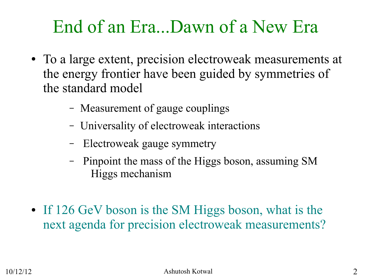## End of an Era...Dawn of a New Era

- To a large extent, precision electroweak measurements at the energy frontier have been guided by symmetries of the standard model
	- Measurement of gauge couplings
	- Universality of electroweak interactions
	- Electroweak gauge symmetry
	- Pinpoint the mass of the Higgs boson, assuming SM Higgs mechanism
- If 126 GeV boson is the SM Higgs boson, what is the next agenda for precision electroweak measurements?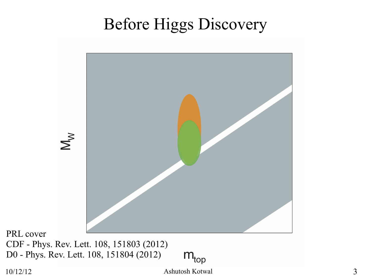### Before Higgs Discovery



PRL cover CDF - [Phys. Rev. Lett. 108, 151803 \(2012\)](http://link.aps.org/doi/10.1103/PhysRevLett.108.151803) D0 - [Phys. Rev. Lett. 108, 151804 \(2012\)](http://link.aps.org/doi/10.1103/PhysRevLett.108.151804)

 $m_{\text{top}}$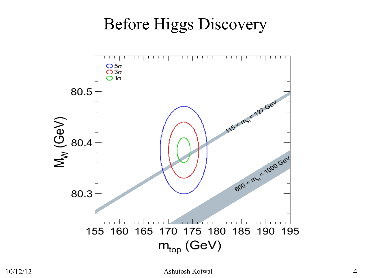## Before Higgs Discovery

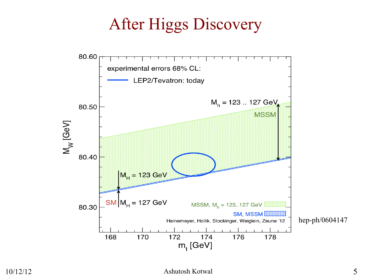### After Higgs Discovery



#### 10/12/12 Ashutosh Kotwal 5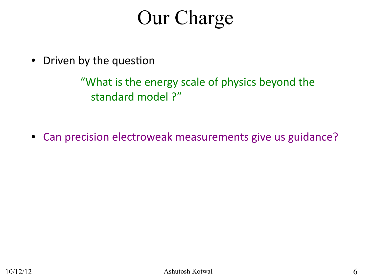# Our Charge

• Driven by the question

"What is the energy scale of physics beyond the standard model ?"

• Can precision electroweak measurements give us guidance?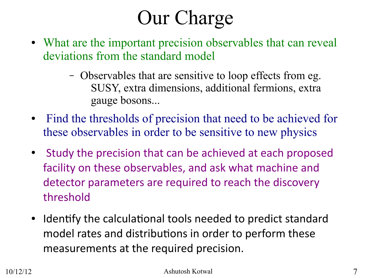# Our Charge

- What are the important precision observables that can reveal deviations from the standard model
	- Observables that are sensitive to loop effects from eg. SUSY, extra dimensions, additional fermions, extra gauge bosons...
- Find the thresholds of precision that need to be achieved for these observables in order to be sensitive to new physics
- Study the precision that can be achieved at each proposed facility on these observables, and ask what machine and detector parameters are required to reach the discovery threshold
- Identify the calculational tools needed to predict standard model rates and distributions in order to perform these measurements at the required precision.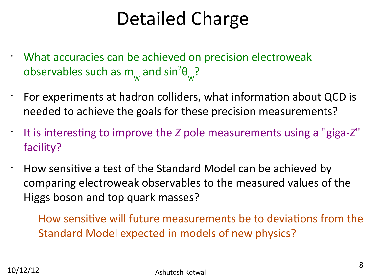# Detailed Charge

• What accuracies can be achieved on precision electroweak observables such as m W and  $sin^2\theta$ W ?

 $\cdot$  For experiments at hadron colliders, what information about QCD is needed to achieve the goals for these precision measurements?

• It is interesting to improve the *Z* pole measurements using a "giga-*Z*" facility?

 $\cdot$  How sensitive a test of the Standard Model can be achieved by comparing electroweak observables to the measured values of the Higgs boson and top quark masses?

- How sensitive will future measurements be to deviations from the Standard Model expected in models of new physics?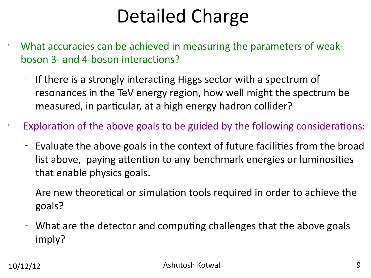# Detailed Charge

• What accuracies can be achieved in measuring the parameters of weakboson 3- and 4-boson interactions?

 $-$  If there is a strongly interacting Higgs sector with a spectrum of resonances in the TeV energy region, how well might the spectrum be measured, in particular, at a high energy hadron collider?

Exploration of the above goals to be guided by the following considerations:

- Evaluate the above goals in the context of future facilies from the broad list above, paying attention to any benchmark energies or luminosities that enable physics goals.
- Are new theoretical or simulation tools required in order to achieve the goals?
- What are the detector and computing challenges that the above goals imply?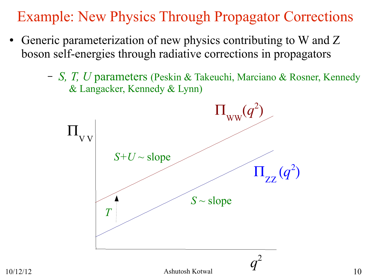Example: New Physics Through Propagator Corrections

- Generic parameterization of new physics contributing to W and Z boson self-energies through radiative corrections in propagators
	- *S, T, U* parameters (Peskin & Takeuchi, Marciano & Rosner, Kennedy & Langacker, Kennedy & Lynn)

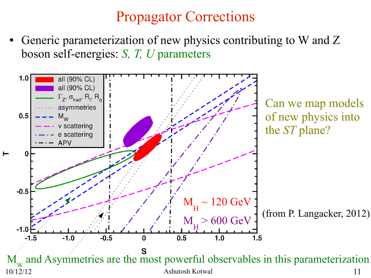### Propagator Corrections

Generic parameterization of new physics contributing to W and Z boson self-energies: *S, T, U* parameters

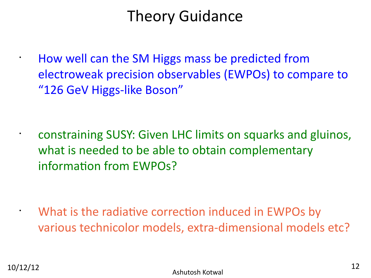### Theory Guidance

• How well can the SM Higgs mass be predicted from electroweak precision observables (EWPOs) to compare to "126 GeV Higgs-like Boson"

• constraining SUSY: Given LHC limits on squarks and gluinos, what is needed to be able to obtain complementary information from EWPOs?

What is the radiative correction induced in EWPOs by various technicolor models, extra-dimensional models etc?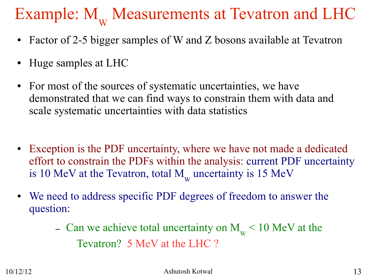# Example:  $M_{\rm w}$  Measurements at Tevatron and LHC

- Factor of 2-5 bigger samples of W and Z bosons available at Tevatron
- Huge samples at LHC
- For most of the sources of systematic uncertainties, we have demonstrated that we can find ways to constrain them with data and scale systematic uncertainties with data statistics
- Exception is the PDF uncertainty, where we have not made a dedicated effort to constrain the PDFs within the analysis: current PDF uncertainty is 10 MeV at the Tevatron, total  $M_{\text{w}}$  uncertainty is 15 MeV
- We need to address specific PDF degrees of freedom to answer the question:
	- Can we achieve total uncertainty on  $M_{\text{w}}$  < 10 MeV at the Tevatron? 5 MeV at the LHC ?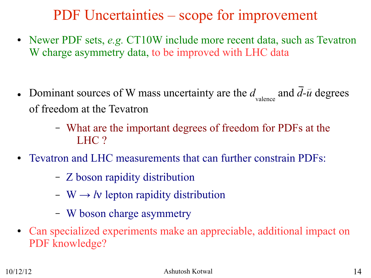### PDF Uncertainties – scope for improvement

- Newer PDF sets, *e.g.* CT10W include more recent data, such as Tevatron W charge asymmetry data, to be improved with LHC data
- Dominant sources of W mass uncertainty are the *d* valence and *d-u* degrees of freedom at the Tevatron
	- What are the important degrees of freedom for PDFs at the LHC ?
- Tevatron and LHC measurements that can further constrain PDFs:
	- Z boson rapidity distribution
	- $-$  W  $\rightarrow$  *l*v lepton rapidity distribution
	- W boson charge asymmetry
- Can specialized experiments make an appreciable, additional impact on PDF knowledge?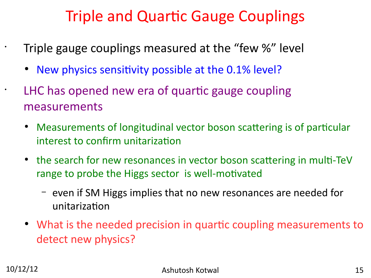### Triple and Quartic Gauge Couplings

• Triple gauge couplings measured at the "few %" level

• New physics sensitivity possible at the 0.1% level?

LHC has opened new era of quartic gauge coupling measurements

- Measurements of longitudinal vector boson scattering is of particular interest to confirm unitarization
- the search for new resonances in vector boson scattering in multi-TeV range to probe the Higgs sector is well-motivated
	- even if SM Higgs implies that no new resonances are needed for unitarization
- What is the needed precision in quartic coupling measurements to detect new physics?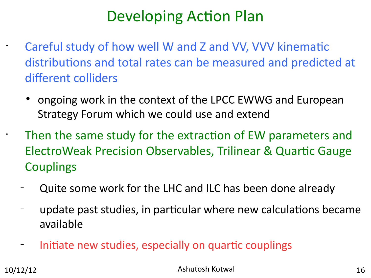### Developing Action Plan

Careful study of how well W and Z and VV, VVV kinematic distributions and total rates can be measured and predicted at different colliders

• ongoing work in the context of the LPCC EWWG and European Strategy Forum which we could use and extend

Then the same study for the extraction of EW parameters and ElectroWeak Precision Observables, Trilinear & Quartic Gauge **Couplings** 

- Quite some work for the LHC and ILC has been done already
- update past studies, in particular where new calculations became available
- Initiate new studies, especially on quartic couplings

10/12/12 Ashutosh Kotwal 16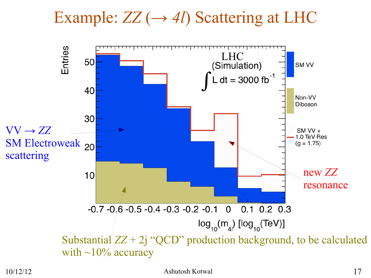## Example: *ZZ* (*→ 4l*) Scattering at LHC



### 10/12/12 Ashutosh Kotwal 17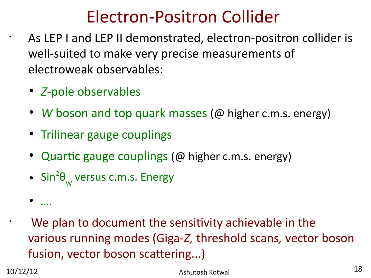## Electron-Positron Collider

As LEP I and LEP II demonstrated, electron-positron collider is well-suited to make very precise measurements of electroweak observables:

- *Z*-pole observables
- *W* boson and top quark masses (@ higher c.m.s. energy)
- Trilinear gauge couplings
- Quartic gauge couplings ( $@$  higher c.m.s. energy)
- $\bullet$  Sin<sup>2</sup> $\theta_{w}$  versus c.m.s. Energy

```
We plan to document the sensitivity achievable in the
various running modes (Giga-Z, threshold scans, vector boson 
fusion, vector boson scattering...)
```
● *….*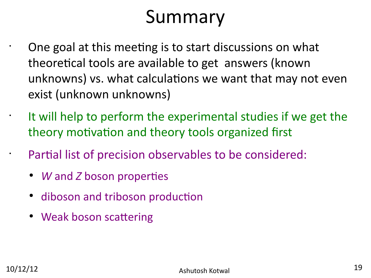# Summary

One goal at this meeting is to start discussions on what theoretical tools are available to get answers (known unknowns) vs. what calculations we want that may not even exist (unknown unknowns)

It will help to perform the experimental studies if we get the theory motivation and theory tools organized first

Partial list of precision observables to be considered:

- *W* and *Z* boson properties
- diboson and triboson production
- Weak boson scattering